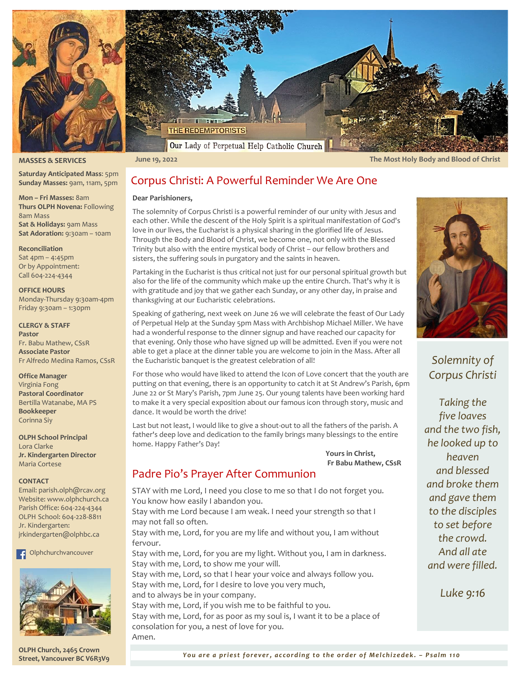



**MASSES & SERVICES**

**Mon – Fri Masses:** 8am **Thurs OLPH Novena:** Following

**Sat & Holidays:** 9am Mass **Sat Adoration:** 9:30am – 10am

Monday-Thursday 9:30am-4pm Friday 9:30am – 1:30pm

Fr Alfredo Medina Ramos, CSsR

8am Mass

**Reconciliation** Sat 4pm – 4:45pm Or by Appointment: Call 604-224-4344 **OFFICE HOURS**

**CLERGY & STAFF**

**Office Manager** Virginia Fong **Pastoral Coordinator** Bertilla Watanabe, MA PS

**Bookkeeper** Corinna Siy

Lora Clarke

**CONTACT**

∣∓l

Maria Cortese

Jr. Kindergarten:

Fr. Babu Mathew, CSsR **Associate Pastor**

**OLPH School Principal**

**Jr. Kindergarten Director**

Email: parish.olph@rcav.org Website: www.olphchurch.ca Parish Office: 604-224-4344 OLPH School: 604-228-8811

[jrkindergarten@olphbc.ca](mailto:jrkindergarten@olphbc.ca)

Olphchurchvancouver

**Pastor**

**Saturday Anticipated Mass**: 5pm **Sunday Masses:** 9am, 11am, 5pm

 **June 19, 2022 The Most Holy Body and Blood of Christ**

# Corpus Christi: A Powerful Reminder We Are One

### **Dear Parishioners,**

The solemnity of Corpus Christi is a powerful reminder of our unity with Jesus and each other. While the descent of the Holy Spirit is a spiritual manifestation of God's love in our lives, the Eucharist is a physical sharing in the glorified life of Jesus. Through the Body and Blood of Christ, we become one, not only with the Blessed Trinity but also with the entire mystical body of Christ – our fellow brothers and sisters, the suffering souls in purgatory and the saints in heaven.

Partaking in the Eucharist is thus critical not just for our personal spiritual growth but also for the life of the community which make up the entire Church. That's why it is with gratitude and joy that we gather each Sunday, or any other day, in praise and thanksgiving at our Eucharistic celebrations.

Speaking of gathering, next week on June 26 we will celebrate the feast of Our Lady of Perpetual Help at the Sunday 5pm Mass with Archbishop Michael Miller. We have had a wonderful response to the dinner signup and have reached our capacity for that evening. Only those who have signed up will be admitted. Even if you were not able to get a place at the dinner table you are welcome to join in the Mass. After all the Eucharistic banquet is the greatest celebration of all!

For those who would have liked to attend the Icon of Love concert that the youth are putting on that evening, there is an opportunity to catch it at St Andrew's Parish, 6pm June 22 or St Mary's Parish, 7pm June 25. Our young talents have been working hard to make it a very special exposition about our famous icon through story, music and dance. It would be worth the drive!

Last but not least, I would like to give a shout-out to all the fathers of the parish. A father's deep love and dedication to the family brings many blessings to the entire home. Happy Father's Day!

> **Yours in Christ, Fr Babu Mathew, CSsR**

# Padre Pio's Prayer After Communion

STAY with me Lord, I need you close to me so that I do not forget you. You know how easily I abandon you. Stay with me Lord because I am weak. I need your strength so that I

may not fall so often.

Stay with me, Lord, for you are my life and without you, I am without fervour.

Stay with me, Lord, for you are my light. Without you, I am in darkness. Stay with me, Lord, to show me your will.

Stay with me, Lord, so that I hear your voice and always follow you. Stay with me, Lord, for I desire to love you very much,

and to always be in your company.

Stay with me, Lord, if you wish me to be faithful to you. Stay with me, Lord, for as poor as my soul is, I want it to be a place of consolation for you, a nest of love for you. Amen.



# *Solemnity of Corpus Christi*

*Taking the five loaves and the two fish, he looked up to heaven and blessed and broke them and gave them to the disciples to set before the crowd. And all ate and were filled.*

*Luke 9:16*



**OLPH Church, 2465 Crown Street, Vancouver BC V6R3V9**